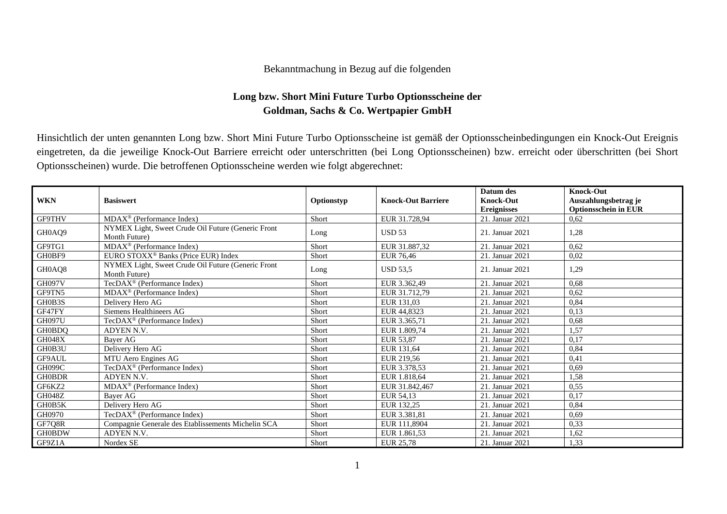## Bekanntmachung in Bezug auf die folgenden

## **Long bzw. Short Mini Future Turbo Optionsscheine der Goldman, Sachs & Co. Wertpapier GmbH**

Hinsichtlich der unten genannten Long bzw. Short Mini Future Turbo Optionsscheine ist gemäß der Optionsscheinbedingungen ein Knock-Out Ereignis eingetreten, da die jeweilige Knock-Out Barriere erreicht oder unterschritten (bei Long Optionsscheinen) bzw. erreicht oder überschritten (bei Short Optionsscheinen) wurde. Die betroffenen Optionsscheine werden wie folgt abgerechnet:

| <b>WKN</b>    | <b>Basiswert</b>                                                    | Optionstyp | <b>Knock-Out Barriere</b> | Datum des<br><b>Knock-Out</b> | <b>Knock-Out</b><br>Auszahlungsbetrag je |
|---------------|---------------------------------------------------------------------|------------|---------------------------|-------------------------------|------------------------------------------|
|               |                                                                     |            |                           | <b>Ereignisses</b>            | <b>Optionsschein in EUR</b>              |
| <b>GF9THV</b> | $MDAX^{\circledR}$ (Performance Index)                              | Short      | EUR 31.728,94             | 21. Januar 2021               | 0,62                                     |
| GH0AQ9        | NYMEX Light, Sweet Crude Oil Future (Generic Front<br>Month Future) | Long       | <b>USD 53</b>             | 21. Januar 2021               | 1,28                                     |
| GF9TG1        | $MDAX^{\circledcirc}$ (Performance Index)                           | Short      | EUR 31.887,32             | 21. Januar 2021               | 0,62                                     |
| GH0BF9        | EURO STOXX <sup>®</sup> Banks (Price EUR) Index                     | Short      | <b>EUR 76,46</b>          | 21. Januar 2021               | 0,02                                     |
| GH0AQ8        | NYMEX Light, Sweet Crude Oil Future (Generic Front<br>Month Future) | Long       | <b>USD 53.5</b>           | 21. Januar 2021               | 1,29                                     |
| GH097V        | TecDAX <sup>®</sup> (Performance Index)                             | Short      | EUR 3.362,49              | 21. Januar 2021               | 0,68                                     |
| GF9TN5        | $MDAX^{\circledR}$ (Performance Index)                              | Short      | EUR 31.712.79             | 21. Januar 2021               | 0,62                                     |
| GH0B3S        | Delivery Hero AG                                                    | Short      | EUR 131.03                | 21. Januar 2021               | 0,84                                     |
| GF47FY        | Siemens Healthineers AG                                             | Short      | EUR 44,8323               | 21. Januar 2021               | 0,13                                     |
| <b>GH097U</b> | TecDAX <sup>®</sup> (Performance Index)                             | Short      | EUR 3.365.71              | 21. Januar 2021               | 0,68                                     |
| <b>GH0BDQ</b> | ADYEN N.V.                                                          | Short      | EUR 1.809.74              | 21. Januar 2021               | 1,57                                     |
| <b>GH048X</b> | Baver AG                                                            | Short      | EUR 53,87                 | 21. Januar 2021               | 0,17                                     |
| GH0B3U        | Delivery Hero AG                                                    | Short      | EUR 131,64                | 21. Januar 2021               | 0,84                                     |
| GF9AUL        | MTU Aero Engines AG                                                 | Short      | EUR 219,56                | 21. Januar 2021               | 0,41                                     |
| GH099C        | TecDAX <sup>®</sup> (Performance Index)                             | Short      | EUR 3.378,53              | 21. Januar 2021               | 0.69                                     |
| <b>GH0BDR</b> | ADYEN N.V.                                                          | Short      | EUR 1.818.64              | 21. Januar 2021               | 1,58                                     |
| GF6KZ2        | $MDAX^{\circledR}$ (Performance Index)                              | Short      | EUR 31.842,467            | 21. Januar 2021               | 0,55                                     |
| GH048Z        | Bayer AG                                                            | Short      | EUR 54,13                 | 21. Januar 2021               | 0,17                                     |
| GH0B5K        | Delivery Hero AG                                                    | Short      | EUR 132.25                | 21. Januar 2021               | 0,84                                     |
| GH0970        | TecDAX <sup>®</sup> (Performance Index)                             | Short      | EUR 3.381.81              | 21. Januar 2021               | 0,69                                     |
| GF7Q8R        | Compagnie Generale des Etablissements Michelin SCA                  | Short      | EUR 111,8904              | 21. Januar 2021               | 0,33                                     |
| <b>GH0BDW</b> | ADYEN N.V.                                                          | Short      | EUR 1.861,53              | 21. Januar 2021               | 1,62                                     |
| GF9Z1A        | Nordex SE                                                           | Short      | EUR 25,78                 | 21. Januar 2021               | 1,33                                     |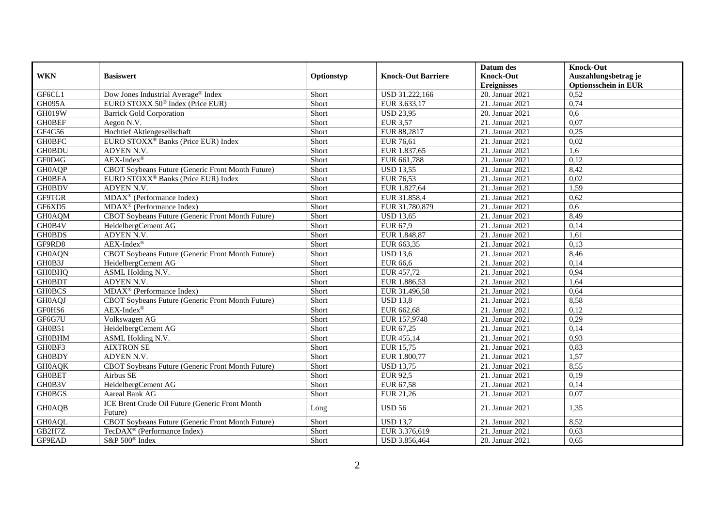| <b>Knock-Out</b><br>Auszahlungsbetrag je<br><b>WKN</b><br><b>Basiswert</b><br><b>Knock-Out Barriere</b><br>Optionstyp<br><b>Ereignisses</b><br><b>Optionsschein in EUR</b><br>GF6CL1<br>Dow Jones Industrial Average® Index<br>Short<br>USD 31.222,166<br>20. Januar 2021<br>0,52<br>EURO STOXX 50 <sup>®</sup> Index (Price EUR)<br><b>GH095A</b><br>Short<br>EUR 3.633,17<br>21. Januar 2021<br>0,74<br><b>GH019W</b><br>Short<br>20. Januar 2021<br><b>Barrick Gold Corporation</b><br><b>USD 23,95</b><br>0,6<br><b>GH0BEF</b><br>21. Januar 2021<br>Short<br><b>EUR 3,57</b><br>0,07<br>Aegon N.V.<br>GF4G56<br>Hochtief Aktiengesellschaft<br>EUR 88,2817<br>0,25<br>Short<br>21. Januar 2021<br><b>GH0BFC</b><br>Short<br>21. Januar 2021<br>0,02<br>EUR 76,61 |                                                 |  | Datum des | <b>Knock-Out</b> |
|-----------------------------------------------------------------------------------------------------------------------------------------------------------------------------------------------------------------------------------------------------------------------------------------------------------------------------------------------------------------------------------------------------------------------------------------------------------------------------------------------------------------------------------------------------------------------------------------------------------------------------------------------------------------------------------------------------------------------------------------------------------------------|-------------------------------------------------|--|-----------|------------------|
|                                                                                                                                                                                                                                                                                                                                                                                                                                                                                                                                                                                                                                                                                                                                                                       |                                                 |  |           |                  |
|                                                                                                                                                                                                                                                                                                                                                                                                                                                                                                                                                                                                                                                                                                                                                                       |                                                 |  |           |                  |
|                                                                                                                                                                                                                                                                                                                                                                                                                                                                                                                                                                                                                                                                                                                                                                       |                                                 |  |           |                  |
|                                                                                                                                                                                                                                                                                                                                                                                                                                                                                                                                                                                                                                                                                                                                                                       |                                                 |  |           |                  |
|                                                                                                                                                                                                                                                                                                                                                                                                                                                                                                                                                                                                                                                                                                                                                                       |                                                 |  |           |                  |
|                                                                                                                                                                                                                                                                                                                                                                                                                                                                                                                                                                                                                                                                                                                                                                       |                                                 |  |           |                  |
|                                                                                                                                                                                                                                                                                                                                                                                                                                                                                                                                                                                                                                                                                                                                                                       |                                                 |  |           |                  |
|                                                                                                                                                                                                                                                                                                                                                                                                                                                                                                                                                                                                                                                                                                                                                                       | EURO STOXX <sup>®</sup> Banks (Price EUR) Index |  |           |                  |
| <b>GH0BDU</b><br>ADYEN N.V.<br>Short<br>EUR 1.837,65<br>21. Januar 2021<br>1,6                                                                                                                                                                                                                                                                                                                                                                                                                                                                                                                                                                                                                                                                                        |                                                 |  |           |                  |
| GF0D4G<br>$AEX-Index^{\circledR}$<br>Short<br>21. Januar 2021<br>0,12<br>EUR 661,788                                                                                                                                                                                                                                                                                                                                                                                                                                                                                                                                                                                                                                                                                  |                                                 |  |           |                  |
| 21. Januar 2021<br>GH0AQP<br>CBOT Soybeans Future (Generic Front Month Future)<br>Short<br><b>USD 13,55</b><br>8,42                                                                                                                                                                                                                                                                                                                                                                                                                                                                                                                                                                                                                                                   |                                                 |  |           |                  |
| 0,02<br><b>GH0BFA</b><br>EURO STOXX <sup>®</sup> Banks (Price EUR) Index<br>Short<br><b>EUR 76,53</b><br>21. Januar 2021                                                                                                                                                                                                                                                                                                                                                                                                                                                                                                                                                                                                                                              |                                                 |  |           |                  |
| <b>GH0BDV</b><br>ADYEN N.V.<br>Short<br>EUR 1.827,64<br>21. Januar 2021<br>1,59                                                                                                                                                                                                                                                                                                                                                                                                                                                                                                                                                                                                                                                                                       |                                                 |  |           |                  |
| GF9TGR<br>MDAX <sup>®</sup> (Performance Index)<br>EUR 31.858,4<br>Short<br>21. Januar 2021<br>0,62                                                                                                                                                                                                                                                                                                                                                                                                                                                                                                                                                                                                                                                                   |                                                 |  |           |                  |
| GF6XD5<br>MDAX <sup>®</sup> (Performance Index)<br>Short<br>21. Januar 2021<br>0.6<br>EUR 31.780,879                                                                                                                                                                                                                                                                                                                                                                                                                                                                                                                                                                                                                                                                  |                                                 |  |           |                  |
| 21. Januar 2021<br>CBOT Soybeans Future (Generic Front Month Future)<br>Short<br>8,49<br><b>GH0AQM</b><br><b>USD 13,65</b>                                                                                                                                                                                                                                                                                                                                                                                                                                                                                                                                                                                                                                            |                                                 |  |           |                  |
| GH0B4V<br>Short<br>21. Januar 2021<br>0,14<br>HeidelbergCement AG<br>EUR 67,9                                                                                                                                                                                                                                                                                                                                                                                                                                                                                                                                                                                                                                                                                         |                                                 |  |           |                  |
| <b>GH0BDS</b><br>ADYEN N.V.<br>EUR 1.848,87<br>21. Januar $2021$<br>Short<br>1,61                                                                                                                                                                                                                                                                                                                                                                                                                                                                                                                                                                                                                                                                                     |                                                 |  |           |                  |
| $AEX-Index^{\circledR}$<br>0,13<br>GF9RD8<br>Short<br>EUR 663,35<br>21. Januar 2021                                                                                                                                                                                                                                                                                                                                                                                                                                                                                                                                                                                                                                                                                   |                                                 |  |           |                  |
| 8,46<br><b>GH0AQN</b><br><b>CBOT Sovbeans Future (Generic Front Month Future)</b><br>Short<br><b>USD 13.6</b><br>21. Januar 2021                                                                                                                                                                                                                                                                                                                                                                                                                                                                                                                                                                                                                                      |                                                 |  |           |                  |
| GH0B3J<br>21. Januar 2021<br>Short<br>EUR 66,6<br>0,14<br>HeidelbergCement AG                                                                                                                                                                                                                                                                                                                                                                                                                                                                                                                                                                                                                                                                                         |                                                 |  |           |                  |
| <b>GH0BHQ</b><br>EUR 457,72<br>21. Januar 2021<br>ASML Holding N.V.<br>Short<br>0,94                                                                                                                                                                                                                                                                                                                                                                                                                                                                                                                                                                                                                                                                                  |                                                 |  |           |                  |
| <b>GH0BDT</b><br>ADYEN N.V.<br>EUR 1.886,53<br>21. Januar 2021<br>Short<br>1,64                                                                                                                                                                                                                                                                                                                                                                                                                                                                                                                                                                                                                                                                                       |                                                 |  |           |                  |
| <b>GH0BCS</b><br>MDAX <sup>®</sup> (Performance Index)<br>Short<br>EUR 31.496,58<br>21. Januar 2021<br>0,64                                                                                                                                                                                                                                                                                                                                                                                                                                                                                                                                                                                                                                                           |                                                 |  |           |                  |
| GH0AQJ<br>Short<br><b>USD 13,8</b><br>21. Januar 2021<br>8,58<br>CBOT Soybeans Future (Generic Front Month Future)                                                                                                                                                                                                                                                                                                                                                                                                                                                                                                                                                                                                                                                    |                                                 |  |           |                  |
| GF0HS6<br>$AEX-Index^{\circledR}$<br>0,12<br>Short<br>EUR 662,68<br>21. Januar 2021                                                                                                                                                                                                                                                                                                                                                                                                                                                                                                                                                                                                                                                                                   |                                                 |  |           |                  |
| GF6G7U<br>Volkswagen AG<br>Short<br>EUR 157,9748<br>21. Januar 2021<br>0,29                                                                                                                                                                                                                                                                                                                                                                                                                                                                                                                                                                                                                                                                                           |                                                 |  |           |                  |
| GH0B51<br>0,14<br>HeidelbergCement AG<br>Short<br>EUR 67,25<br>21. Januar 2021                                                                                                                                                                                                                                                                                                                                                                                                                                                                                                                                                                                                                                                                                        |                                                 |  |           |                  |
| <b>GH0BHM</b><br>21. Januar 2021<br>ASML Holding N.V.<br>Short<br>EUR 455,14<br>0,93                                                                                                                                                                                                                                                                                                                                                                                                                                                                                                                                                                                                                                                                                  |                                                 |  |           |                  |
| GH0BF3<br><b>AIXTRON SE</b><br>EUR 15,75<br>21. Januar 2021<br>0,83<br>Short                                                                                                                                                                                                                                                                                                                                                                                                                                                                                                                                                                                                                                                                                          |                                                 |  |           |                  |
| <b>GH0BDY</b><br>ADYEN N.V.<br>Short<br>EUR 1.800,77<br>21. Januar 2021<br>1,57                                                                                                                                                                                                                                                                                                                                                                                                                                                                                                                                                                                                                                                                                       |                                                 |  |           |                  |
| <b>GH0AQK</b><br>21. Januar 2021<br>8,55<br>CBOT Soybeans Future (Generic Front Month Future)<br>Short<br><b>USD 13,75</b>                                                                                                                                                                                                                                                                                                                                                                                                                                                                                                                                                                                                                                            |                                                 |  |           |                  |
| <b>GH0BET</b><br>Short<br><b>EUR 92,5</b><br>21. Januar 2021<br>0,19<br>Airbus SE                                                                                                                                                                                                                                                                                                                                                                                                                                                                                                                                                                                                                                                                                     |                                                 |  |           |                  |
| GH0B3V<br>HeidelbergCement AG<br>Short<br>EUR 67,58<br>21. Januar 2021<br>0,14                                                                                                                                                                                                                                                                                                                                                                                                                                                                                                                                                                                                                                                                                        |                                                 |  |           |                  |
| <b>GH0BGS</b><br>21. Januar 2021<br>Aareal Bank AG<br>Short<br>EUR 21,26<br>0,07                                                                                                                                                                                                                                                                                                                                                                                                                                                                                                                                                                                                                                                                                      |                                                 |  |           |                  |
| ICE Brent Crude Oil Future (Generic Front Month<br><b>USD 56</b><br><b>GH0AQB</b><br>21. Januar 2021<br>1,35<br>Long<br>Future)                                                                                                                                                                                                                                                                                                                                                                                                                                                                                                                                                                                                                                       |                                                 |  |           |                  |
| CBOT Soybeans Future (Generic Front Month Future)<br>Short<br><b>GH0AQL</b><br><b>USD 13,7</b><br>21. Januar 2021<br>8,52                                                                                                                                                                                                                                                                                                                                                                                                                                                                                                                                                                                                                                             |                                                 |  |           |                  |
| GB2H7Z<br>TecDAX <sup>®</sup> (Performance Index)<br>Short<br>EUR 3.376,619<br>21. Januar 2021<br>0,63                                                                                                                                                                                                                                                                                                                                                                                                                                                                                                                                                                                                                                                                |                                                 |  |           |                  |
| GF9EAD<br>S&P 500 <sup>®</sup> Index<br>0,65<br>Short<br>20. Januar 2021<br>USD 3.856,464                                                                                                                                                                                                                                                                                                                                                                                                                                                                                                                                                                                                                                                                             |                                                 |  |           |                  |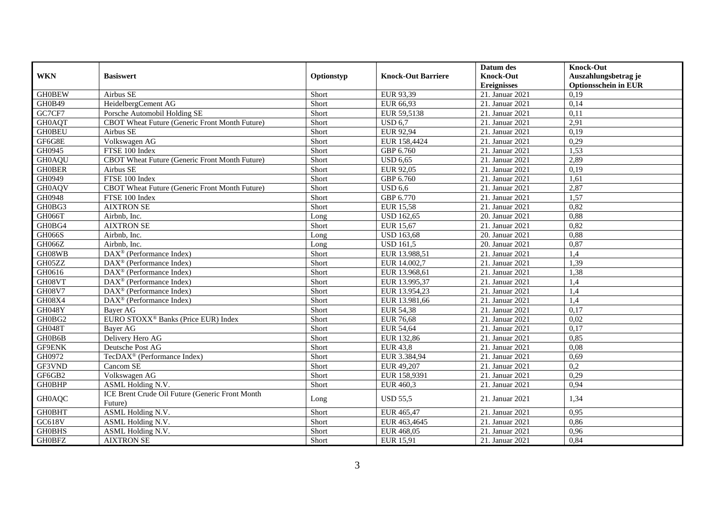|               |                                                       |            |                           | Datum des                     | <b>Knock-Out</b>            |
|---------------|-------------------------------------------------------|------------|---------------------------|-------------------------------|-----------------------------|
| <b>WKN</b>    | <b>Basiswert</b>                                      | Optionstyp | <b>Knock-Out Barriere</b> | <b>Knock-Out</b>              | Auszahlungsbetrag je        |
|               |                                                       |            |                           | <b>Ereignisses</b>            | <b>Optionsschein in EUR</b> |
| <b>GH0BEW</b> | Airbus SE                                             | Short      | EUR 93,39                 | $\overline{21}$ . Januar 2021 | 0,19                        |
| GH0B49        | HeidelbergCement AG                                   | Short      | EUR 66,93                 | 21. Januar 2021               | 0,14                        |
| GC7CF7        | Porsche Automobil Holding SE                          | Short      | EUR 59,5138               | 21. Januar 2021               | 0,11                        |
| <b>GH0AQT</b> | CBOT Wheat Future (Generic Front Month Future)        | Short      | <b>USD 6,7</b>            | 21. Januar 2021               | 2,91                        |
| <b>GH0BEU</b> | Airbus SE                                             | Short      | EUR 92,94                 | 21. Januar 2021               | 0,19                        |
| GF6G8E        | Volkswagen AG                                         | Short      | EUR 158,4424              | 21. Januar 2021               | 0,29                        |
| GH0945        | FTSE 100 Index                                        | Short      | GBP 6.760                 | 21. Januar 2021               | 1,53                        |
| <b>GH0AQU</b> | CBOT Wheat Future (Generic Front Month Future)        | Short      | $\overline{$ USD 6,65     | 21. Januar 2021               | 2,89                        |
| <b>GH0BER</b> | Airbus SE                                             | Short      | EUR 92,05                 | 21. Januar 2021               | 0,19                        |
| GH0949        | FTSE 100 Index                                        | Short      | GBP 6.760                 | 21. Januar 2021               | 1,61                        |
| <b>GH0AQV</b> | CBOT Wheat Future (Generic Front Month Future)        | Short      | <b>USD 6,6</b>            | 21. Januar 2021               | 2,87                        |
| GH0948        | FTSE 100 Index                                        | Short      | GBP 6.770                 | 21. Januar 2021               | 1,57                        |
| GH0BG3        | <b>AIXTRON SE</b>                                     | Short      | <b>EUR 15,58</b>          | 21. Januar 2021               | 0,82                        |
| GH066T        | Airbnb. Inc.                                          | Long       | <b>USD 162.65</b>         | 20. Januar 2021               | 0,88                        |
| GH0BG4        | <b>AIXTRON SE</b>                                     | Short      | EUR 15,67                 | 21. Januar 2021               | 0,82                        |
| <b>GH066S</b> | Airbnb, Inc.                                          | Long       | <b>USD 163,68</b>         | 20. Januar 2021               | 0,88                        |
| GH066Z        | Airbnb, Inc.                                          | Long       | <b>USD 161.5</b>          | 20. Januar 2021               | 0,87                        |
| GH08WB        | $\overline{\text{DAX}^{\otimes}}$ (Performance Index) | Short      | EUR 13.988,51             | 21. Januar 2021               | 1,4                         |
| GH05ZZ        | $DAX^{\circledR}$ (Performance Index)                 | Short      | EUR 14.002,7              | 21. Januar 2021               | 1,39                        |
| GH0616        | $\text{DAX}^{\circledast}$ (Performance Index)        | Short      | EUR 13.968,61             | 21. Januar 2021               | 1,38                        |
| GH08VT        | DAX <sup>®</sup> (Performance Index)                  | Short      | EUR 13.995,37             | 21. Januar 2021               | 1,4                         |
| <b>GH08V7</b> | $DAX^{\circledast}$ (Performance Index)               | Short      | EUR 13.954,23             | 21. Januar 2021               | 1,4                         |
| GH08X4        | DAX <sup>®</sup> (Performance Index)                  | Short      | EUR 13.981,66             | 21. Januar 2021               | 1,4                         |
| GH048Y        | <b>Bayer AG</b>                                       | Short      | <b>EUR 54,38</b>          | 21. Januar 2021               | 0,17                        |
| GH0BG2        | EURO STOXX <sup>®</sup> Banks (Price EUR) Index       | Short      | <b>EUR 76,68</b>          | 21. Januar 2021               | 0,02                        |
| GH048T        | Bayer AG                                              | Short      | <b>EUR 54,64</b>          | 21. Januar 2021               | 0,17                        |
| GH0B6B        | Delivery Hero AG                                      | Short      | EUR 132,86                | 21. Januar 2021               | 0,85                        |
| <b>GF9ENK</b> | Deutsche Post AG                                      | Short      | <b>EUR 43,8</b>           | 21. Januar 2021               | 0,08                        |
| GH0972        | TecDAX <sup>®</sup> (Performance Index)               | Short      | EUR 3.384,94              | 21. Januar 2021               | 0,69                        |
| GF3VND        | Cancom SE                                             | Short      | EUR 49,207                | 21. Januar 2021               | 0,2                         |
| GF6GB2        | Volkswagen AG                                         | Short      | EUR 158,9391              | 21. Januar 2021               | 0,29                        |
| <b>GH0BHP</b> | ASML Holding N.V.                                     | Short      | EUR 460,3                 | 21. Januar 2021               | 0,94                        |
| <b>GH0AQC</b> | ICE Brent Crude Oil Future (Generic Front Month       |            | <b>USD 55,5</b>           | 21. Januar 2021               | 1,34                        |
|               | Future)                                               | Long       |                           |                               |                             |
| <b>GH0BHT</b> | ASML Holding N.V.                                     | Short      | EUR 465,47                | 21. Januar 2021               | 0,95                        |
| GC618V        | ASML Holding N.V.                                     | Short      | EUR 463,4645              | 21. Januar 2021               | 0,86                        |
| <b>GH0BHS</b> | ASML Holding N.V.                                     | Short      | EUR 468,05                | 21. Januar 2021               | 0,96                        |
| <b>GH0BFZ</b> | <b>AIXTRON SE</b>                                     | Short      | EUR 15,91                 | 21. Januar 2021               | 0,84                        |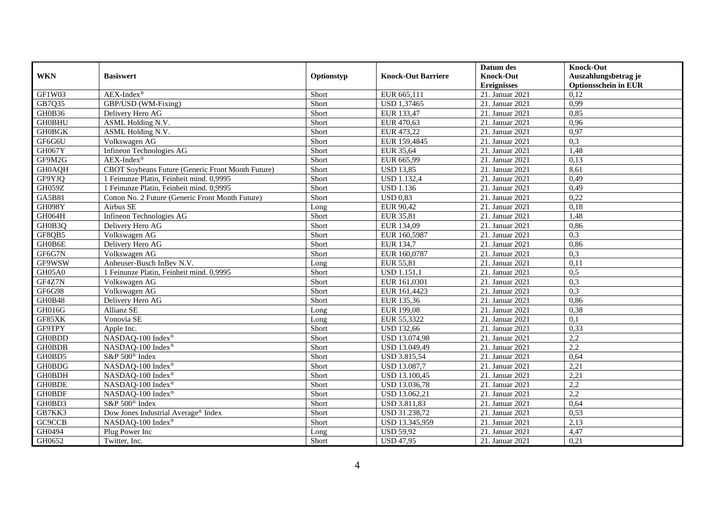|               |                                                   |            |                           | Datum des          | <b>Knock-Out</b>            |
|---------------|---------------------------------------------------|------------|---------------------------|--------------------|-----------------------------|
| <b>WKN</b>    | <b>Basiswert</b>                                  | Optionstyp | <b>Knock-Out Barriere</b> | <b>Knock-Out</b>   | Auszahlungsbetrag je        |
|               |                                                   |            |                           | <b>Ereignisses</b> | <b>Optionsschein in EUR</b> |
| GF1W03        | $AEX-Index^{\circledR}$                           | Short      | EUR 665,111               | 21. Januar 2021    | 0,12                        |
| GB7Q35        | GBP/USD (WM-Fixing)                               | Short      | <b>USD 1,37465</b>        | 21. Januar 2021    | 0,99                        |
| GH0B36        | Delivery Hero AG                                  | Short      | EUR 133,47                | 21. Januar 2021    | 0,85                        |
| <b>GH0BHU</b> | ASML Holding N.V.                                 | Short      | EUR 470,63                | 21. Januar 2021    | 0,96                        |
| <b>GH0BGK</b> | ASML Holding N.V.                                 | Short      | EUR 473,22                | 21. Januar 2021    | 0,97                        |
| GF6G6U        | Volkswagen AG                                     | Short      | EUR 159,4845              | 21. Januar 2021    | 0,3                         |
| GH067Y        | Infineon Technologies AG                          | Short      | EUR 35,64                 | 21. Januar 2021    | 1,48                        |
| GF9M2G        | $AEX-Index^{\circledR}$                           | Short      | EUR 665,99                | 21. Januar $2021$  | 0,13                        |
| GH0AQH        | CBOT Soybeans Future (Generic Front Month Future) | Short      | <b>USD 13,85</b>          | 21. Januar 2021    | 8,61                        |
| GF9YJQ        | 1 Feinunze Platin, Feinheit mind. 0,9995          | Short      | <b>USD 1.132,4</b>        | 21. Januar 2021    | 0,49                        |
| <b>GH059Z</b> | 1 Feinunze Platin, Feinheit mind. 0,9995          | Short      | <b>USD 1.136</b>          | 21. Januar 2021    | 0,49                        |
| GA5B81        | Cotton No. 2 Future (Generic Front Month Future)  | Short      | <b>USD 0.83</b>           | 21. Januar 2021    | 0,22                        |
| GH098Y        | Airbus SE                                         | Long       | EUR 90,42                 | 21. Januar 2021    | 0,18                        |
| GH064H        | Infineon Technologies AG                          | Short      | EUR 35,81                 | 21. Januar 2021    | 1,48                        |
| GH0B3Q        | Delivery Hero AG                                  | Short      | EUR 134,09                | 21. Januar 2021    | 0,86                        |
| GF8QB5        | Volkswagen AG                                     | Short      | EUR 160,5987              | 21. Januar 2021    | 0,3                         |
| GH0B6E        | Delivery Hero AG                                  | Short      | EUR 134,7                 | 21. Januar 2021    | 0,86                        |
| GF6G7N        | Volkswagen AG                                     | Short      | EUR 160,0787              | 21. Januar 2021    | 0,3                         |
| GF9WSW        | Anheuser-Busch InBev N.V.                         | Long       | EUR 55,81                 | 21. Januar 2021    | 0,11                        |
| GH05A0        | 1 Feinunze Platin, Feinheit mind. 0,9995          | Short      | <b>USD 1.151,1</b>        | 21. Januar 2021    | 0,5                         |
| GF4Z7N        | Volkswagen AG                                     | Short      | EUR 161,0301              | 21. Januar 2021    | 0,3                         |
| GF6G98        | Volkswagen AG                                     | Short      | EUR 161,4423              | 21. Januar 2021    | 0,3                         |
| GH0B48        | Delivery Hero AG                                  | Short      | EUR 135,36                | 21. Januar 2021    | 0,86                        |
| GH016G        | Allianz SE                                        | Long       | EUR 199,08                | 21. Januar 2021    | 0,38                        |
| GF85XK        | Vonovia SE                                        | Long       | EUR 55,3322               | 21. Januar 2021    | 0,1                         |
| GF9TPY        | Apple Inc.                                        | Short      | <b>USD 132,66</b>         | 21. Januar 2021    | 0,33                        |
| <b>GH0BDD</b> | NASDAQ-100 Index®                                 | Short      | USD 13.074,98             | 21. Januar 2021    | 2,2                         |
| <b>GH0BDB</b> | NASDAQ-100 Index®                                 | Short      | USD 13.049,49             | 21. Januar 2021    | 2,2                         |
| GH0BD5        | S&P 500 <sup>®</sup> Index                        | Short      | <b>USD 3.815,54</b>       | 21. Januar 2021    | 0,64                        |
| <b>GH0BDG</b> | NASDAQ-100 Index®                                 | Short      | USD 13.087,7              | 21. Januar 2021    | 2,21                        |
| <b>GH0BDH</b> | NASDAQ-100 Index®                                 | Short      | USD 13.100,45             | 21. Januar 2021    | 2,21                        |
| <b>GH0BDE</b> | NASDAQ-100 Index®                                 | Short      | USD 13.036,78             | 21. Januar 2021    | 2,2                         |
| <b>GH0BDF</b> | NASDAQ-100 Index®                                 | Short      | USD 13.062,21             | 21. Januar 2021    | 2,2                         |
| GH0BD3        | S&P 500 <sup>®</sup> Index                        | Short      | <b>USD 3.811,83</b>       | 21. Januar 2021    | 0,64                        |
| GB7KK3        | Dow Jones Industrial Average® Index               | Short      | USD 31.238,72             | 21. Januar 2021    | 0,53                        |
| GC9CCB        | NASDAQ-100 Index®                                 | Short      | USD 13.345,959            | 21. Januar 2021    | 2,13                        |
| GH0494        | Plug Power Inc                                    | Long       | <b>USD 59,92</b>          | 21. Januar 2021    | 4,47                        |
| GH0652        | Twitter, Inc.                                     | Short      | <b>USD 47,95</b>          | 21. Januar 2021    | 0,21                        |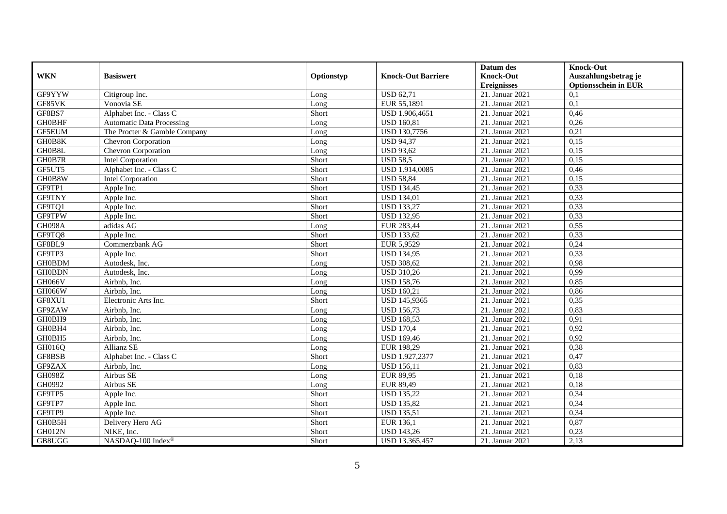|               |                                  |            |                           | Datum des                     | <b>Knock-Out</b>            |
|---------------|----------------------------------|------------|---------------------------|-------------------------------|-----------------------------|
| <b>WKN</b>    | <b>Basiswert</b>                 | Optionstyp | <b>Knock-Out Barriere</b> | <b>Knock-Out</b>              | Auszahlungsbetrag je        |
|               |                                  |            |                           | <b>Ereignisses</b>            | <b>Optionsschein in EUR</b> |
| GF9YYW        | Citigroup Inc.                   | Long       | <b>USD 62,71</b>          | $\overline{21}$ . Januar 2021 | 0,1                         |
| GF85VK        | Vonovia SE                       | Long       | EUR 55,1891               | 21. Januar 2021               | 0,1                         |
| GF8BS7        | Alphabet Inc. - Class C          | Short      | USD 1.906,4651            | 21. Januar 2021               | 0,46                        |
| <b>GH0BHF</b> | <b>Automatic Data Processing</b> | Long       | <b>USD 160,81</b>         | 21. Januar 2021               | 0,26                        |
| <b>GF5EUM</b> | The Procter & Gamble Company     | Long       | <b>USD 130,7756</b>       | 21. Januar 2021               | 0,21                        |
| GH0B8K        | Chevron Corporation              | Long       | <b>USD 94,37</b>          | 21. Januar 2021               | 0,15                        |
| GH0B8L        | Chevron Corporation              | Long       | <b>USD 93,62</b>          | 21. Januar 2021               | 0,15                        |
| GH0B7R        | <b>Intel Corporation</b>         | Short      | <b>USD 58,5</b>           | 21. Januar $2021$             | 0,15                        |
| GF5UT5        | Alphabet Inc. - Class C          | Short      | USD 1.914,0085            | 21. Januar 2021               | 0,46                        |
| GH0B8W        | <b>Intel Corporation</b>         | Short      | <b>USD 58,84</b>          | 21. Januar 2021               | 0,15                        |
| GF9TP1        | Apple Inc.                       | Short      | <b>USD 134,45</b>         | 21. Januar 2021               | 0,33                        |
| GF9TNY        | Apple Inc.                       | Short      | <b>USD 134,01</b>         | 21. Januar 2021               | 0,33                        |
| GF9TQ1        | Apple Inc.                       | Short      | <b>USD 133,27</b>         | 21. Januar 2021               | 0,33                        |
| GF9TPW        | Apple Inc.                       | Short      | <b>USD 132,95</b>         | 21. Januar 2021               | 0,33                        |
| GH098A        | adidas AG                        | Long       | EUR 283,44                | 21. Januar 2021               | 0,55                        |
| GF9TQ8        | Apple Inc.                       | Short      | <b>USD 133,62</b>         | 21. Januar 2021               | 0,33                        |
| GF8BL9        | Commerzbank AG                   | Short      | EUR 5,9529                | 21. Januar 2021               | 0,24                        |
| GF9TP3        | Apple Inc.                       | Short      | <b>USD 134,95</b>         | 21. Januar 2021               | 0,33                        |
| <b>GH0BDM</b> | Autodesk, Inc.                   | Long       | <b>USD 308,62</b>         | 21. Januar $2021$             | 0,98                        |
| <b>GH0BDN</b> | Autodesk, Inc.                   | Long       | <b>USD 310,26</b>         | 21. Januar 2021               | 0,99                        |
| GH066V        | Airbnb, Inc.                     | Long       | <b>USD 158,76</b>         | 21. Januar 2021               | 0,85                        |
| <b>GH066W</b> | Airbnb. Inc.                     | Long       | <b>USD 160,21</b>         | 21. Januar 2021               | 0,86                        |
| GF8XU1        | Electronic Arts Inc.             | Short      | <b>USD 145,9365</b>       | 21. Januar 2021               | 0,35                        |
| GF9ZAW        | Airbnb, Inc.                     | Long       | <b>USD 156,73</b>         | 21. Januar 2021               | 0,83                        |
| GH0BH9        | Airbnb. Inc.                     | Long       | <b>USD 168,53</b>         | 21. Januar 2021               | 0,91                        |
| GH0BH4        | Airbnb, Inc.                     | Long       | <b>USD 170,4</b>          | 21. Januar 2021               | 0,92                        |
| GH0BH5        | Airbnb, Inc.                     | Long       | <b>USD 169,46</b>         | 21. Januar 2021               | 0,92                        |
| GH016Q        | Allianz SE                       | Long       | EUR 198,29                | 21. Januar 2021               | 0,38                        |
| GF8BSB        | Alphabet Inc. - Class C          | Short      | USD 1.927,2377            | 21. Januar 2021               | 0,47                        |
| GF9ZAX        | Airbnb, Inc.                     | Long       | <b>USD 156,11</b>         | 21. Januar 2021               | 0,83                        |
| <b>GH098Z</b> | Airbus SE                        | Long       | <b>EUR 89,95</b>          | 21. Januar 2021               | 0,18                        |
| GH0992        | Airbus SE                        | Long       | EUR 89,49                 | 21. Januar 2021               | 0,18                        |
| GF9TP5        | Apple Inc.                       | Short      | <b>USD 135,22</b>         | 21. Januar 2021               | 0,34                        |
| GF9TP7        | Apple Inc.                       | Short      | <b>USD 135,82</b>         | 21. Januar 2021               | 0,34                        |
| GF9TP9        | Apple Inc.                       | Short      | <b>USD 135,51</b>         | 21. Januar 2021               | 0,34                        |
| GH0B5H        | Delivery Hero AG                 | Short      | EUR 136,1                 | 21. Januar 2021               | 0,87                        |
| GH012N        | NIKE, Inc.                       | Short      | <b>USD 143,26</b>         | 21. Januar 2021               | 0,23                        |
| GB8UGG        | NASDAQ-100 Index®                | Short      | USD 13.365,457            | 21. Januar 2021               | 2,13                        |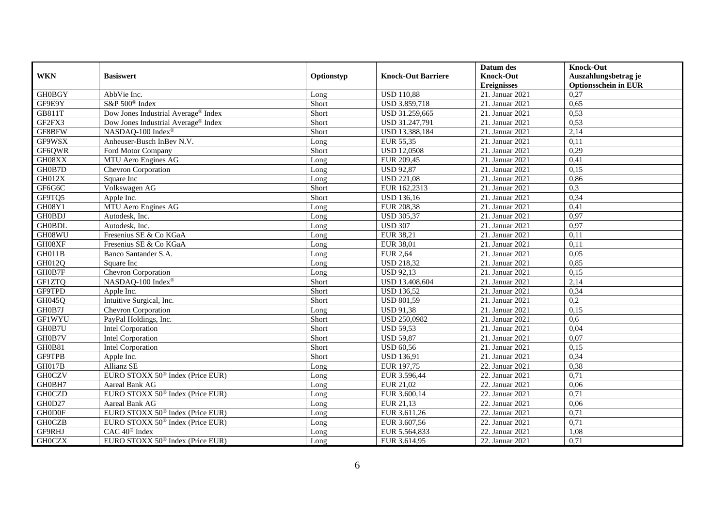|               |                                                 |            |                           | Datum des          | <b>Knock-Out</b>            |
|---------------|-------------------------------------------------|------------|---------------------------|--------------------|-----------------------------|
| <b>WKN</b>    | <b>Basiswert</b>                                | Optionstyp | <b>Knock-Out Barriere</b> | <b>Knock-Out</b>   | Auszahlungsbetrag je        |
|               |                                                 |            |                           | <b>Ereignisses</b> | <b>Optionsschein in EUR</b> |
| <b>GH0BGY</b> | AbbVie Inc.                                     | Long       | <b>USD 110,88</b>         | 21. Januar 2021    | 0,27                        |
| GF9E9Y        | S&P 500 <sup>®</sup> Index                      | Short      | USD 3.859,718             | 21. Januar 2021    | 0,65                        |
| GB811T        | Dow Jones Industrial Average® Index             | Short      | USD 31.259,665            | 21. Januar 2021    | 0,53                        |
| GF2FX3        | Dow Jones Industrial Average <sup>®</sup> Index | Short      | USD 31.247,791            | 21. Januar 2021    | 0,53                        |
| GF8BFW        | NASDAQ-100 Index®                               | Short      | USD 13.388,184            | 21. Januar 2021    | 2,14                        |
| GF9WSX        | Anheuser-Busch InBev N.V.                       | Long       | EUR 55,35                 | 21. Januar 2021    | 0,11                        |
| GF6QWR        | Ford Motor Company                              | Short      | <b>USD 12,0508</b>        | 21. Januar 2021    | 0,29                        |
| GH08XX        | MTU Aero Engines AG                             | Long       | EUR 209,45                | 21. Januar $2021$  | 0,41                        |
| GH0B7D        | Chevron Corporation                             | Long       | <b>USD 92,87</b>          | 21. Januar 2021    | 0,15                        |
| <b>GH012X</b> | Square Inc                                      | Long       | <b>USD 221,08</b>         | 21. Januar 2021    | 0,86                        |
| GF6G6C        | Volkswagen AG                                   | Short      | EUR 162,2313              | 21. Januar 2021    | 0,3                         |
| GF9TQ5        | Apple Inc.                                      | Short      | <b>USD</b> 136,16         | 21. Januar 2021    | 0,34                        |
| GH08Y1        | MTU Aero Engines AG                             | Long       | <b>EUR 208,38</b>         | 21. Januar 2021    | 0,41                        |
| <b>GH0BDJ</b> | Autodesk, Inc.                                  | Long       | <b>USD 305,37</b>         | 21. Januar 2021    | 0,97                        |
| <b>GH0BDL</b> | Autodesk, Inc.                                  | Long       | <b>USD 307</b>            | 21. Januar 2021    | 0,97                        |
| GH08WU        | Fresenius SE & Co KGaA                          | Long       | EUR 38,21                 | 21. Januar 2021    | 0,11                        |
| GH08XF        | Fresenius SE & Co KGaA                          | Long       | EUR 38,01                 | 21. Januar 2021    | 0,11                        |
| <b>GH011B</b> | Banco Santander S.A.                            | $L$ ong    | <b>EUR 2.64</b>           | 21. Januar 2021    | 0,05                        |
| GH012Q        | Square Inc                                      | Long       | <b>USD 218,32</b>         | 21. Januar 2021    | 0,85                        |
| GH0B7F        | Chevron Corporation                             | Long       | <b>USD 92,13</b>          | 21. Januar 2021    | 0,15                        |
| GF1ZTQ        | NASDAQ-100 Index®                               | Short      | USD 13.408,604            | 21. Januar 2021    | 2,14                        |
| GF9TPD        | Apple Inc.                                      | Short      | <b>USD 136,52</b>         | 21. Januar 2021    | 0,34                        |
| GH045Q        | Intuitive Surgical, Inc.                        | Short      | <b>USD 801,59</b>         | 21. Januar 2021    | 0,2                         |
| GH0B7J        | Chevron Corporation                             | Long       | <b>USD 91,38</b>          | 21. Januar 2021    | 0,15                        |
| <b>GF1WYU</b> | PayPal Holdings, Inc.                           | Short      | <b>USD 250.0982</b>       | 21. Januar 2021    | 0.6                         |
| GH0B7U        | <b>Intel Corporation</b>                        | Short      | <b>USD 59,53</b>          | 21. Januar 2021    | 0,04                        |
| GH0B7V        | <b>Intel Corporation</b>                        | Short      | <b>USD 59,87</b>          | 21. Januar 2021    | 0,07                        |
| GH0B81        | <b>Intel Corporation</b>                        | Short      | <b>USD 60,56</b>          | 21. Januar 2021    | 0,15                        |
| <b>GF9TPB</b> | Apple Inc.                                      | Short      | <b>USD 136,91</b>         | 21. Januar 2021    | 0,34                        |
| GH017B        | Allianz SE                                      | Long       | EUR 197,75                | 22. Januar 2021    | 0,38                        |
| <b>GH0CZV</b> | EURO STOXX 50 <sup>®</sup> Index (Price EUR)    | Long       | EUR 3.596,44              | 22. Januar 2021    | 0,71                        |
| GH0BH7        | Aareal Bank AG                                  | Long       | EUR 21.02                 | 22. Januar 2021    | 0,06                        |
| <b>GH0CZD</b> | EURO STOXX 50 <sup>®</sup> Index (Price EUR)    | Long       | EUR 3.600,14              | 22. Januar 2021    | 0,71                        |
| GH0D27        | Aareal Bank AG                                  | Long       | EUR 21,13                 | 22. Januar 2021    | 0,06                        |
| <b>GHODOF</b> | EURO STOXX 50 <sup>®</sup> Index (Price EUR)    | Long       | EUR 3.611,26              | 22. Januar 2021    | 0,71                        |
| <b>GHOCZB</b> | EURO STOXX 50 <sup>®</sup> Index (Price EUR)    | Long       | EUR 3.607,56              | 22. Januar 2021    | 0,71                        |
| GF9RHJ        | CAC 40 <sup>®</sup> Index                       | Long       | EUR 5.564,833             | 22. Januar 2021    | 1,08                        |
| <b>GHOCZX</b> | EURO STOXX 50 <sup>®</sup> Index (Price EUR)    | Long       | EUR 3.614,95              | 22. Januar 2021    | 0,71                        |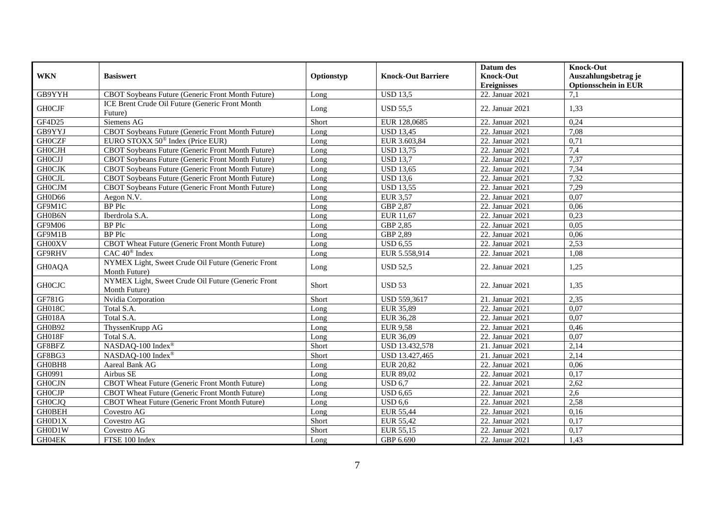|                         |                                                                     |            |                           | Datum des          | <b>Knock-Out</b>            |
|-------------------------|---------------------------------------------------------------------|------------|---------------------------|--------------------|-----------------------------|
| <b>WKN</b>              | <b>Basiswert</b>                                                    | Optionstyp | <b>Knock-Out Barriere</b> | <b>Knock-Out</b>   | Auszahlungsbetrag je        |
|                         |                                                                     |            |                           | <b>Ereignisses</b> | <b>Optionsschein in EUR</b> |
| GB9YYH                  | CBOT Soybeans Future (Generic Front Month Future)                   | Long       | <b>USD 13,5</b>           | $22.$ Januar 2021  | 7,1                         |
|                         | ICE Brent Crude Oil Future (Generic Front Month                     |            |                           |                    |                             |
| <b>GHOCJF</b>           | Future)                                                             | Long       | <b>USD 55.5</b>           | 22. Januar 2021    | 1,33                        |
| GF4D25                  | Siemens AG                                                          | Short      | EUR 128,0685              | 22. Januar 2021    | 0,24                        |
| GB9YYJ                  | CBOT Soybeans Future (Generic Front Month Future)                   | Long       | <b>USD 13,45</b>          | 22. Januar 2021    | 7,08                        |
| <b>GH0CZF</b>           | EURO STOXX 50 <sup>®</sup> Index (Price EUR)                        | Long       | EUR 3.603,84              | 22. Januar 2021    | 0,71                        |
| <b>GHOCJH</b>           | CBOT Soybeans Future (Generic Front Month Future)                   | Long       | <b>USD 13,75</b>          | 22. Januar 2021    | 7,4                         |
| <b>GHOCJJ</b>           | CBOT Soybeans Future (Generic Front Month Future)                   | Long       | <b>USD 13.7</b>           | 22. Januar 2021    | 7,37                        |
| <b>GHOCJK</b>           | CBOT Soybeans Future (Generic Front Month Future)                   | Long       | <b>USD 13,65</b>          | 22. Januar 2021    | 7,34                        |
| <b>GHOCJL</b>           | CBOT Soybeans Future (Generic Front Month Future)                   | Long       | <b>USD 13,6</b>           | 22. Januar 2021    | 7,32                        |
| <b>GH0CJM</b>           | CBOT Soybeans Future (Generic Front Month Future)                   | Long       | <b>USD 13,55</b>          | 22. Januar 2021    | 7,29                        |
| GH0D66                  | Aegon N.V.                                                          | Long       | <b>EUR 3,57</b>           | 22. Januar 2021    | 0,07                        |
| GF9M1C                  | <b>BP</b> Plc                                                       | Long       | GBP 2,87                  | 22. Januar 2021    | 0,06                        |
| GH0B6N                  | Iberdrola S.A.                                                      | Long       | EUR 11,67                 | 22. Januar 2021    | 0,23                        |
| GF9M06                  | BP Plc                                                              | Long       | GBP 2,85                  | 22. Januar 2021    | 0,05                        |
| GF9M1B                  | <b>BP</b> Plc                                                       | Long       | GBP 2,89                  | 22. Januar 2021    | 0,06                        |
| GH00XV                  | CBOT Wheat Future (Generic Front Month Future)                      | Long       | <b>USD 6,55</b>           | 22. Januar 2021    | 2,53                        |
| GF9RHV                  | $CAC 40$ <sup>®</sup> Index                                         | $L$ ong    | EUR 5.558,914             | 22. Januar 2021    | 1.08                        |
| <b>GH0AQA</b>           | NYMEX Light, Sweet Crude Oil Future (Generic Front<br>Month Future) | Long       | <b>USD 52,5</b>           | 22. Januar 2021    | 1,25                        |
| $\operatorname{GHOCJC}$ | NYMEX Light, Sweet Crude Oil Future (Generic Front<br>Month Future) | Short      | <b>USD 53</b>             | 22. Januar 2021    | 1,35                        |
| GF781G                  | Nvidia Corporation                                                  | Short      | <b>USD 559.3617</b>       | 21. Januar 2021    | 2,35                        |
| <b>GH018C</b>           | Total S.A.                                                          | Long       | EUR 35,89                 | 22. Januar 2021    | 0,07                        |
| <b>GH018A</b>           | Total S.A.                                                          | Long       | EUR 36,28                 | 22. Januar 2021    | 0,07                        |
| GH0B92                  | ThyssenKrupp AG                                                     | Long       | <b>EUR 9,58</b>           | 22. Januar 2021    | 0,46                        |
| GH018F                  | Total S.A.                                                          | Long       | EUR 36,09                 | 22. Januar 2021    | 0,07                        |
| GF8BFZ                  | NASDAQ-100 Index®                                                   | Short      | USD 13.432,578            | 21. Januar 2021    | 2,14                        |
| GF8BG3                  | NASDAQ-100 Index®                                                   | Short      | USD 13.427,465            | 21. Januar 2021    | 2,14                        |
| GH0BH8                  | Aareal Bank AG                                                      | Long       | <b>EUR 20,82</b>          | 22. Januar 2021    | 0,06                        |
| GH0991                  | Airbus SE                                                           | Long       | EUR 89,02                 | 22. Januar 2021    | 0,17                        |
| <b>GH0CJN</b>           | CBOT Wheat Future (Generic Front Month Future)                      | Long       | <b>USD 6,7</b>            | 22. Januar 2021    | 2,62                        |
| <b>GHOCJP</b>           | CBOT Wheat Future (Generic Front Month Future)                      | Long       | <b>USD 6,65</b>           | 22. Januar 2021    | 2,6                         |
| <b>GH0CJQ</b>           | CBOT Wheat Future (Generic Front Month Future)                      | Long       | $\overline{$ USD 6.6      | 22. Januar 2021    | 2,58                        |
| <b>GH0BEH</b>           | Covestro AG                                                         | Long       | <b>EUR 55,44</b>          | 22. Januar 2021    | 0,16                        |
| GH0D1X                  | Covestro AG                                                         | Short      | EUR 55,42                 | 22. Januar 2021    | 0,17                        |
| GH0D1W                  | Covestro AG                                                         | Short      | EUR 55,15                 | 22. Januar 2021    | 0,17                        |
| GH04EK                  | FTSE 100 Index                                                      | Long       | GBP 6.690                 | 22. Januar 2021    | 1,43                        |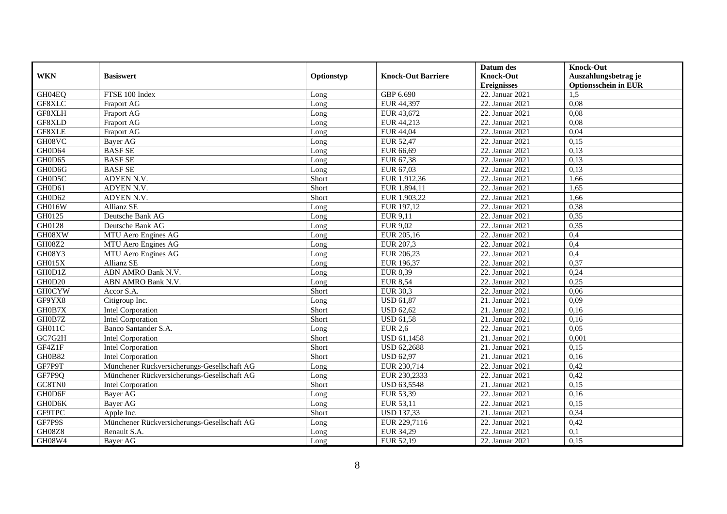|               |                                             |            |                           | Datum des          | <b>Knock-Out</b>            |
|---------------|---------------------------------------------|------------|---------------------------|--------------------|-----------------------------|
| <b>WKN</b>    | <b>Basiswert</b>                            | Optionstyp | <b>Knock-Out Barriere</b> | <b>Knock-Out</b>   | Auszahlungsbetrag je        |
|               |                                             |            |                           | <b>Ereignisses</b> | <b>Optionsschein in EUR</b> |
| GH04EQ        | FTSE 100 Index                              | Long       | GBP 6.690                 | 22. Januar 2021    | 1,5                         |
| GF8XLC        | <b>Fraport AG</b>                           | Long       | EUR 44,397                | 22. Januar 2021    | 0.08                        |
| GF8XLH        | Fraport AG                                  | Long       | EUR 43,672                | 22. Januar 2021    | 0,08                        |
| GF8XLD        | Fraport AG                                  | Long       | EUR 44,213                | 22. Januar 2021    | 0,08                        |
| GF8XLE        | Fraport AG                                  | Long       | EUR 44,04                 | 22. Januar 2021    | 0,04                        |
| GH08VC        | Bayer AG                                    | Long       | EUR 52,47                 | 22. Januar 2021    | 0,15                        |
| GH0D64        | <b>BASF SE</b>                              | Long       | EUR 66,69                 | 22. Januar 2021    | 0,13                        |
| GH0D65        | <b>BASF SE</b>                              | Long       | EUR 67,38                 | 22. Januar 2021    | 0,13                        |
| GH0D6G        | <b>BASF SE</b>                              | Long       | EUR 67,03                 | 22. Januar 2021    | 0,13                        |
| GH0D5C        | ADYEN N.V.                                  | Short      | EUR 1.912,36              | 22. Januar 2021    | 1,66                        |
| GH0D61        | ADYEN N.V.                                  | Short      | EUR 1.894,11              | 22. Januar 2021    | 1,65                        |
| GH0D62        | ADYEN N.V.                                  | Short      | EUR 1.903,22              | 22. Januar 2021    | 1,66                        |
| GH016W        | Allianz SE                                  | Long       | EUR 197,12                | 22. Januar 2021    | 0,38                        |
| GH0125        | Deutsche Bank AG                            | Long       | EUR 9,11                  | 22. Januar 2021    | 0,35                        |
| GH0128        | Deutsche Bank AG                            | Long       | EUR 9,02                  | 22. Januar 2021    | 0,35                        |
| GH08XW        | MTU Aero Engines AG                         | Long       | EUR 205,16                | 22. Januar 2021    | 0,4                         |
| GH08Z2        | MTU Aero Engines AG                         | Long       | EUR 207,3                 | 22. Januar 2021    | 0,4                         |
| GH08Y3        | MTU Aero Engines AG                         | $L$ ong    | EUR 206.23                | 22. Januar 2021    | 0,4                         |
| GH015X        | Allianz SE                                  | Long       | EUR 196,37                | 22. Januar 2021    | 0,37                        |
| GH0D1Z        | ABN AMRO Bank N.V.                          | Long       | <b>EUR 8,39</b>           | 22. Januar 2021    | 0,24                        |
| GH0D20        | ABN AMRO Bank N.V.                          | Long       | <b>EUR 8,54</b>           | 22. Januar 2021    | 0.25                        |
| <b>GH0CYW</b> | Accor S.A.                                  | Short      | <b>EUR 30,3</b>           | 22. Januar 2021    | 0,06                        |
| GF9YX8        | Citigroup Inc.                              | Long       | <b>USD 61,87</b>          | 21. Januar 2021    | 0,09                        |
| GH0B7X        | <b>Intel Corporation</b>                    | Short      | <b>USD 62,62</b>          | 21. Januar 2021    | 0,16                        |
| GH0B7Z        | <b>Intel Corporation</b>                    | Short      | <b>USD 61,58</b>          | 21. Januar $2021$  | 0,16                        |
| GH011C        | Banco Santander S.A.                        | Long       | <b>EUR 2,6</b>            | 22. Januar 2021    | 0,05                        |
| GC7G2H        | <b>Intel Corporation</b>                    | Short      | <b>USD 61,1458</b>        | 21. Januar 2021    | 0,001                       |
| GF4Z1F        | <b>Intel Corporation</b>                    | Short      | <b>USD 62,2688</b>        | 21. Januar 2021    | 0,15                        |
| <b>GH0B82</b> | Intel Corporation                           | Short      | $\overline{$ USD 62,97    | 21. Januar 2021    | 0,16                        |
| GF7P9T        | Münchener Rückversicherungs-Gesellschaft AG | Long       | EUR 230,714               | 22. Januar 2021    | 0,42                        |
| GF7P9Q        | Münchener Rückversicherungs-Gesellschaft AG | Long       | EUR 230,2333              | 22. Januar 2021    | 0,42                        |
| GC8TN0        | <b>Intel Corporation</b>                    | Short      | <b>USD 63,5548</b>        | 21. Januar 2021    | 0,15                        |
| GH0D6F        | Bayer AG                                    | Long       | EUR 53,39                 | 22. Januar 2021    | 0,16                        |
| GH0D6K        | Bayer AG                                    | Long       | EUR 53,11                 | 22. Januar 2021    | 0,15                        |
| GF9TPC        | Apple Inc.                                  | Short      | <b>USD 137,33</b>         | 21. Januar $2021$  | 0,34                        |
| GF7P9S        | Münchener Rückversicherungs-Gesellschaft AG | Long       | EUR 229,7116              | 22. Januar 2021    | 0,42                        |
| GH08Z8        | Renault S.A.                                | Long       | EUR 34,29                 | 22. Januar 2021    | 0,1                         |
| GH08W4        | Bayer AG                                    | Long       | EUR 52,19                 | 22. Januar 2021    | 0,15                        |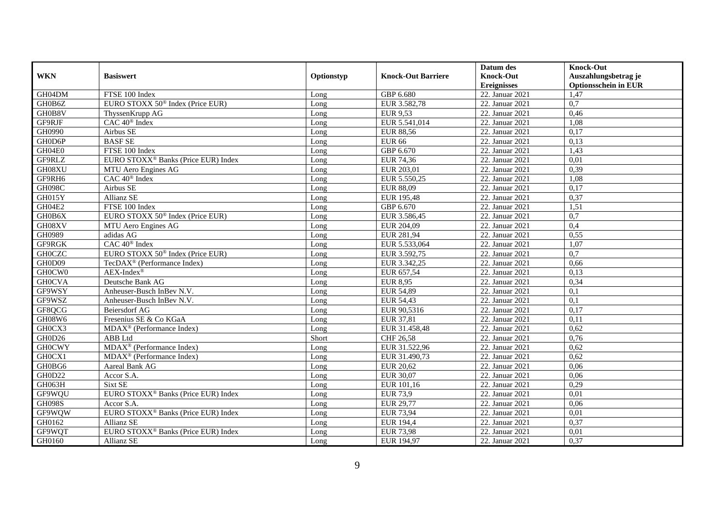|               |                                                 |            |                           | Datum des          | <b>Knock-Out</b>            |
|---------------|-------------------------------------------------|------------|---------------------------|--------------------|-----------------------------|
| <b>WKN</b>    | <b>Basiswert</b>                                | Optionstyp | <b>Knock-Out Barriere</b> | <b>Knock-Out</b>   | Auszahlungsbetrag je        |
|               |                                                 |            |                           | <b>Ereignisses</b> | <b>Optionsschein in EUR</b> |
| GH04DM        | FTSE 100 Index                                  | Long       | GBP 6.680                 | $22.$ Januar 2021  | 1,47                        |
| GH0B6Z        | EURO STOXX 50 <sup>®</sup> Index (Price EUR)    | Long       | EUR 3.582,78              | 22. Januar 2021    | 0,7                         |
| GH0B8V        | ThyssenKrupp AG                                 | Long       | <b>EUR 9,53</b>           | 22. Januar 2021    | 0,46                        |
| GF9RJF        | CAC 40 <sup>®</sup> Index                       | Long       | EUR 5.541,014             | 22. Januar 2021    | 1,08                        |
| GH0990        | Airbus SE                                       | Long       | <b>EUR 88,56</b>          | 22. Januar 2021    | 0,17                        |
| GH0D6P        | <b>BASFSE</b>                                   | Long       | <b>EUR 66</b>             | 22. Januar 2021    | 0,13                        |
| GH04E0        | FTSE 100 Index                                  | Long       | GBP 6.670                 | 22. Januar 2021    | 1,43                        |
| GF9RLZ        | EURO STOXX <sup>®</sup> Banks (Price EUR) Index | Long       | EUR 74,36                 | 22. Januar 2021    | 0,01                        |
| GH08XU        | MTU Aero Engines AG                             | Long       | EUR 203,01                | 22. Januar 2021    | 0,39                        |
| GF9RH6        | CAC 40 <sup>®</sup> Index                       | Long       | EUR 5.550,25              | 22. Januar 2021    | 1,08                        |
| <b>GH098C</b> | Airbus SE                                       | Long       | <b>EUR 88,09</b>          | 22. Januar 2021    | 0,17                        |
| <b>GH015Y</b> | Allianz SE                                      | Long       | EUR 195,48                | 22. Januar 2021    | 0,37                        |
| GH04E2        | FTSE 100 Index                                  | Long       | GBP 6.670                 | 22. Januar 2021    | 1,51                        |
| GH0B6X        | EURO STOXX 50 <sup>®</sup> Index (Price EUR)    | Long       | EUR 3.586,45              | 22. Januar 2021    | 0,7                         |
| GH08XV        | MTU Aero Engines AG                             | Long       | EUR 204,09                | 22. Januar 2021    | 0,4                         |
| GH0989        | adidas AG                                       | Long       | EUR 281,94                | 22. Januar 2021    | 0,55                        |
| GF9RGK        | CAC 40 <sup>®</sup> Index                       | Long       | EUR 5.533,064             | 22. Januar 2021    | 1,07                        |
| <b>GHOCZC</b> | EURO STOXX 50 <sup>®</sup> Index (Price EUR)    | Long       | EUR 3.592,75              | 22. Januar 2021    | 0,7                         |
| GH0D09        | TecDAX <sup>®</sup> (Performance Index)         | Long       | EUR 3.342,25              | 22. Januar 2021    | 0,66                        |
| GH0CW0        | $AEX-Index^{\circledR}$                         | Long       | EUR 657,54                | 22. Januar 2021    | 0,13                        |
| <b>GH0CVA</b> | Deutsche Bank AG                                | Long       | <b>EUR 8,95</b>           | 22. Januar 2021    | 0,34                        |
| GF9WSY        | Anheuser-Busch InBev N.V.                       | Long       | EUR 54,89                 | 22. Januar 2021    | 0,1                         |
| GF9WSZ        | Anheuser-Busch InBev N.V.                       | Long       | EUR 54,43                 | 22. Januar 2021    | $\overline{0,1}$            |
| GF8QCG        | <b>Beiersdorf AG</b>                            | Long       | EUR 90,5316               | 22. Januar 2021    | 0,17                        |
| GH08W6        | Fresenius SE & Co KGaA                          | Long       | EUR 37,81                 | 22. Januar 2021    | 0,11                        |
| GH0CX3        | MDAX <sup>®</sup> (Performance Index)           | Long       | EUR 31.458,48             | 22. Januar 2021    | 0,62                        |
| GH0D26        | ABB Ltd                                         | Short      | CHF 26,58                 | 22. Januar 2021    | 0,76                        |
| <b>GH0CWY</b> | MDAX <sup>®</sup> (Performance Index)           | Long       | EUR 31.522,96             | 22. Januar 2021    | 0,62                        |
| GH0CX1        | $MDAX^{\circledR}$ (Performance Index)          | Long       | EUR 31.490,73             | 22. Januar 2021    | 0,62                        |
| GH0BG6        | Aareal Bank AG                                  | Long       | EUR 20,62                 | 22. Januar 2021    | 0,06                        |
| GH0D22        | Accor S.A.                                      | Long       | EUR 30,07                 | 22. Januar 2021    | 0,06                        |
| GH063H        | Sixt SE                                         | Long       | EUR 101,16                | 22. Januar 2021    | 0,29                        |
| GF9WQU        | EURO STOXX <sup>®</sup> Banks (Price EUR) Index | Long       | <b>EUR 73,9</b>           | 22. Januar 2021    | 0,01                        |
| <b>GH098S</b> | Accor $S.A.$                                    | Long       | EUR 29,77                 | 22. Januar 2021    | 0,06                        |
| GF9WQW        | EURO STOXX <sup>®</sup> Banks (Price EUR) Index | Long       | EUR 73,94                 | 22. Januar 2021    | 0,01                        |
| GH0162        | <b>Allianz SE</b>                               | Long       | EUR 194,4                 | 22. Januar 2021    | 0,37                        |
| GF9WQT        | EURO STOXX <sup>®</sup> Banks (Price EUR) Index | Long       | <b>EUR 73,98</b>          | 22. Januar 2021    | 0,01                        |
| GH0160        | Allianz SE                                      | Long       | EUR 194,97                | 22. Januar 2021    | 0,37                        |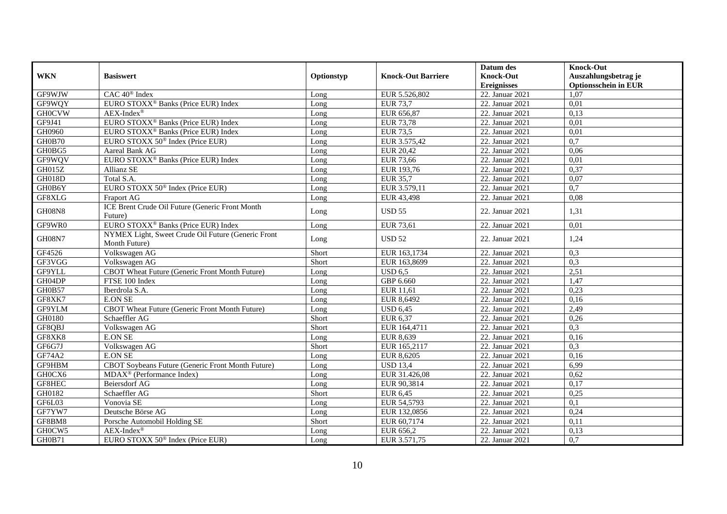|               |                                                                     |            |                           | Datum des          | <b>Knock-Out</b>            |
|---------------|---------------------------------------------------------------------|------------|---------------------------|--------------------|-----------------------------|
| <b>WKN</b>    | <b>Basiswert</b>                                                    | Optionstyp | <b>Knock-Out Barriere</b> | Knock-Out          | Auszahlungsbetrag je        |
|               |                                                                     |            |                           | <b>Ereignisses</b> | <b>Optionsschein in EUR</b> |
| GF9WJW        | CAC 40 <sup>®</sup> Index                                           | Long       | EUR 5.526,802             | 22. Januar 2021    | 1,07                        |
| GF9WOY        | EURO STOXX <sup>®</sup> Banks (Price EUR) Index                     | $L$ ong    | <b>EUR 73,7</b>           | 22. Januar 2021    | 0,01                        |
| <b>GH0CVW</b> | $AEX-Index^{\circledR}$                                             | Long       | EUR 656,87                | 22. Januar 2021    | 0,13                        |
| GF9J41        | EURO STOXX <sup>®</sup> Banks (Price EUR) Index                     | Long       | EUR 73,78                 | 22. Januar 2021    | 0,01                        |
| GH0960        | EURO STOXX <sup>®</sup> Banks (Price EUR) Index                     | Long       | <b>EUR 73,5</b>           | 22. Januar 2021    | 0,01                        |
| <b>GH0B70</b> | EURO STOXX 50 <sup>®</sup> Index (Price EUR)                        | Long       | EUR 3.575,42              | 22. Januar 2021    | 0,7                         |
| GH0BG5        | Aareal Bank AG                                                      | Long       | EUR 20,42                 | 22. Januar 2021    | 0,06                        |
| GF9WQV        | EURO STOXX <sup>®</sup> Banks (Price EUR) Index                     | Long       | EUR 73,66                 | 22. Januar 2021    | 0,01                        |
| GH015Z        | <b>Allianz SE</b>                                                   | Long       | EUR 193,76                | 22. Januar 2021    | 0,37                        |
| <b>GH018D</b> | Total S.A.                                                          | Long       | <b>EUR 35,7</b>           | 22. Januar 2021    | 0,07                        |
| GH0B6Y        | EURO STOXX 50 <sup>®</sup> Index (Price EUR)                        | Long       | EUR 3.579,11              | 22. Januar 2021    | 0,7                         |
| GF8XLG        | Fraport AG                                                          | Long       | EUR 43,498                | 22. Januar 2021    | 0,08                        |
| <b>GH08N8</b> | ICE Brent Crude Oil Future (Generic Front Month<br>Future)          | Long       | <b>USD 55</b>             | 22. Januar 2021    | 1,31                        |
| GF9WR0        | EURO STOXX <sup>®</sup> Banks (Price EUR) Index                     | Long       | EUR 73,61                 | 22. Januar 2021    | 0,01                        |
| <b>GH08N7</b> | NYMEX Light, Sweet Crude Oil Future (Generic Front<br>Month Future) | Long       | <b>USD 52</b>             | 22. Januar 2021    | 1,24                        |
| GF4526        | Volkswagen AG                                                       | Short      | EUR 163,1734              | 22. Januar 2021    | 0,3                         |
| GF3VGG        | Volkswagen AG                                                       | Short      | EUR 163,8699              | 22. Januar 2021    | 0,3                         |
| GF9YLL        | CBOT Wheat Future (Generic Front Month Future)                      | Long       | <b>USD 6.5</b>            | 22. Januar 2021    | 2,51                        |
| GH04DP        | FTSE 100 Index                                                      | Long       | GBP 6.660                 | 22. Januar 2021    | 1,47                        |
| GH0B57        | Iberdrola S.A.                                                      | Long       | EUR 11,61                 | 22. Januar 2021    | 0,23                        |
| GF8XK7        | <b>E.ON SE</b>                                                      | Long       | EUR 8,6492                | 22. Januar 2021    | 0,16                        |
| GF9YLM        | CBOT Wheat Future (Generic Front Month Future)                      | Long       | <b>USD 6,45</b>           | 22. Januar 2021    | 2,49                        |
| GH0180        | Schaeffler AG                                                       | Short      | EUR 6,37                  | 22. Januar 2021    | 0,26                        |
| GF8QBJ        | Volkswagen AG                                                       | Short      | EUR 164,4711              | 22. Januar 2021    | 0,3                         |
| GF8XK8        | <b>E.ON SE</b>                                                      | Long       | EUR 8,639                 | 22. Januar 2021    | 0,16                        |
| GF6G7J        | Volkswagen AG                                                       | Short      | EUR 165,2117              | 22. Januar 2021    | 0,3                         |
| GF74A2        | <b>E.ON SE</b>                                                      | Long       | EUR 8,6205                | 22. Januar 2021    | 0,16                        |
| GF9HBM        | CBOT Soybeans Future (Generic Front Month Future)                   | Long       | <b>USD 13,4</b>           | 22. Januar 2021    | 6,99                        |
| GH0CX6        | MDAX <sup>®</sup> (Performance Index)                               | Long       | EUR 31.426,08             | 22. Januar 2021    | 0,62                        |
| GF8HEC        | Beiersdorf AG                                                       | Long       | EUR 90,3814               | 22. Januar 2021    | 0,17                        |
| GH0182        | Schaeffler AG                                                       | Short      | <b>EUR 6,45</b>           | 22. Januar 2021    | 0,25                        |
| GF6L03        | Vonovia SE                                                          | Long       | EUR 54,5793               | 22. Januar 2021    | 0,1                         |
| GF7YW7        | Deutsche Börse AG                                                   | Long       | EUR 132,0856              | 22. Januar 2021    | 0,24                        |
| GF8BM8        | Porsche Automobil Holding SE                                        | Short      | EUR 60,7174               | 22. Januar 2021    | 0,11                        |
| GH0CW5        | $AEX-Index^{\circledR}$                                             | Long       | EUR 656,2                 | 22. Januar 2021    | 0,13                        |
| GH0B71        | EURO STOXX 50 <sup>®</sup> Index (Price EUR)                        | Long       | EUR 3.571,75              | 22. Januar 2021    | 0,7                         |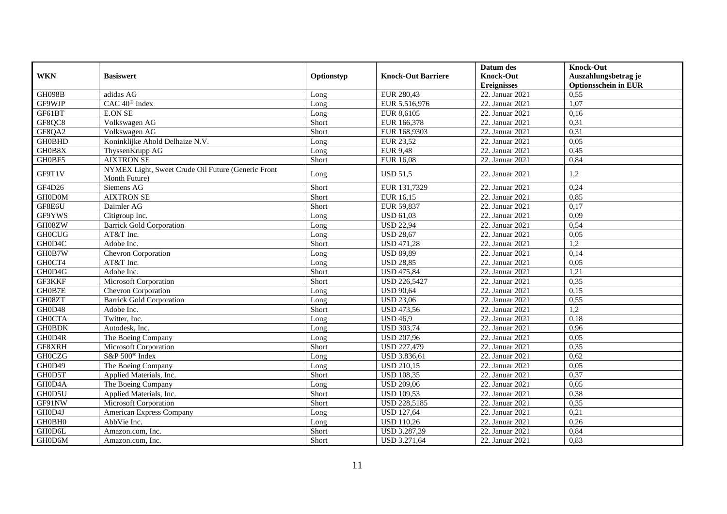|               |                                                    |            |                           | Datum des          | <b>Knock-Out</b>            |
|---------------|----------------------------------------------------|------------|---------------------------|--------------------|-----------------------------|
| <b>WKN</b>    | <b>Basiswert</b>                                   | Optionstyp | <b>Knock-Out Barriere</b> | <b>Knock-Out</b>   | Auszahlungsbetrag je        |
|               |                                                    |            |                           | <b>Ereignisses</b> | <b>Optionsschein in EUR</b> |
| <b>GH098B</b> | adidas AG                                          | Long       | EUR 280,43                | 22. Januar 2021    | 0,55                        |
| GF9WJP        | CAC 40 <sup>®</sup> Index                          | Long       | EUR 5.516,976             | 22. Januar 2021    | 1,07                        |
| GF61BT        | <b>E.ON SE</b>                                     | Long       | EUR 8,6105                | 22. Januar 2021    | 0,16                        |
| GF8OC8        | Volkswagen AG                                      | Short      | EUR 166,378               | 22. Januar 2021    | 0,31                        |
| GF8QA2        | Volkswagen AG                                      | Short      | EUR 168,9303              | 22. Januar 2021    | 0,31                        |
| <b>GH0BHD</b> | Koninklijke Ahold Delhaize N.V.                    | Long       | EUR 23,52                 | 22. Januar 2021    | 0,05                        |
| GH0B8X        | ThyssenKrupp AG                                    | Long       | <b>EUR 9,48</b>           | 22. Januar 2021    | 0,45                        |
| GH0BF5        | <b>AIXTRON SE</b>                                  | Short      | EUR 16,08                 | 22. Januar 2021    | 0,84                        |
|               | NYMEX Light, Sweet Crude Oil Future (Generic Front |            |                           |                    |                             |
| GF9T1V        | Month Future)                                      | Long       | <b>USD 51,5</b>           | 22. Januar 2021    | 1,2                         |
| GF4D26        | Siemens AG                                         | Short      | EUR 131,7329              | 22. Januar 2021    | 0,24                        |
| <b>GH0D0M</b> | <b>AIXTRON SE</b>                                  | Short      | EUR 16,15                 | 22. Januar 2021    | 0,85                        |
| GF8E6U        | Daimler AG                                         | Short      | EUR 59,837                | 22. Januar 2021    | 0,17                        |
| GF9YWS        | Citigroup Inc.                                     | Long       | <b>USD 61,03</b>          | 22. Januar 2021    | 0,09                        |
| GH08ZW        | <b>Barrick Gold Corporation</b>                    | Long       | <b>USD 22,94</b>          | 22. Januar 2021    | 0,54                        |
| <b>GH0CUG</b> | AT&T Inc.                                          | Long       | <b>USD 28,67</b>          | 22. Januar 2021    | 0,05                        |
| GH0D4C        | Adobe Inc.                                         | Short      | <b>USD 471,28</b>         | 22. Januar 2021    | 1,2                         |
| GH0B7W        | <b>Chevron Corporation</b>                         | $L$ ong    | <b>USD 89,89</b>          | 22. Januar 2021    | 0,14                        |
| GH0CT4        | AT&T Inc.                                          | Long       | <b>USD 28,85</b>          | 22. Januar 2021    | 0,05                        |
| GH0D4G        | Adobe Inc.                                         | Short      | <b>USD 475,84</b>         | 22. Januar 2021    | 1,21                        |
| GF3KKF        | Microsoft Corporation                              | Short      | <b>USD 226,5427</b>       | 22. Januar 2021    | 0,35                        |
| GH0B7E        | Chevron Corporation                                | Long       | <b>USD 90,64</b>          | 22. Januar 2021    | 0,15                        |
| GH08ZT        | <b>Barrick Gold Corporation</b>                    | Long       | <b>USD 23,06</b>          | 22. Januar 2021    | 0,55                        |
| GH0D48        | Adobe Inc.                                         | Short      | <b>USD 473,56</b>         | 22. Januar 2021    | 1,2                         |
| <b>GHOCTA</b> | Twitter, Inc.                                      | Long       | <b>USD 46.9</b>           | 22. Januar 2021    | 0,18                        |
| <b>GH0BDK</b> | Autodesk, Inc.                                     | Long       | <b>USD 303,74</b>         | 22. Januar 2021    | 0.96                        |
| GH0D4R        | The Boeing Company                                 | Long       | <b>USD 207,96</b>         | 22. Januar 2021    | 0,05                        |
| GF8XRH        | Microsoft Corporation                              | Short      | <b>USD 227,479</b>        | 22. Januar 2021    | 0,35                        |
| <b>GH0CZG</b> | S&P 500® Index                                     | Long       | USD 3.836,61              | 22. Januar 2021    | 0,62                        |
| GH0D49        | The Boeing Company                                 | Long       | <b>USD 210,15</b>         | 22. Januar 2021    | 0,05                        |
| GH0D5T        | Applied Materials, Inc.                            | Short      | <b>USD 108,35</b>         | 22. Januar 2021    | 0,37                        |
| GH0D4A        | The Boeing Company                                 | Long       | <b>USD 209,06</b>         | 22. Januar 2021    | 0,05                        |
| GH0D5U        | Applied Materials, Inc.                            | Short      | <b>USD 109.53</b>         | 22. Januar 2021    | 0,38                        |
| GF91NW        | <b>Microsoft Corporation</b>                       | Short      | <b>USD 228,5185</b>       | 22. Januar 2021    | 0,35                        |
| GH0D4J        | American Express Company                           | Long       | <b>USD 127,64</b>         | 22. Januar 2021    | 0,21                        |
| GH0BH0        | AbbVie Inc.                                        | Long       | <b>USD 110,26</b>         | 22. Januar 2021    | 0,26                        |
| GH0D6L        | Amazon.com, Inc.                                   | Short      | USD 3.287,39              | 22. Januar 2021    | 0,84                        |
| GH0D6M        | Amazon.com, Inc.                                   | Short      | USD 3.271,64              | 22. Januar 2021    | 0,83                        |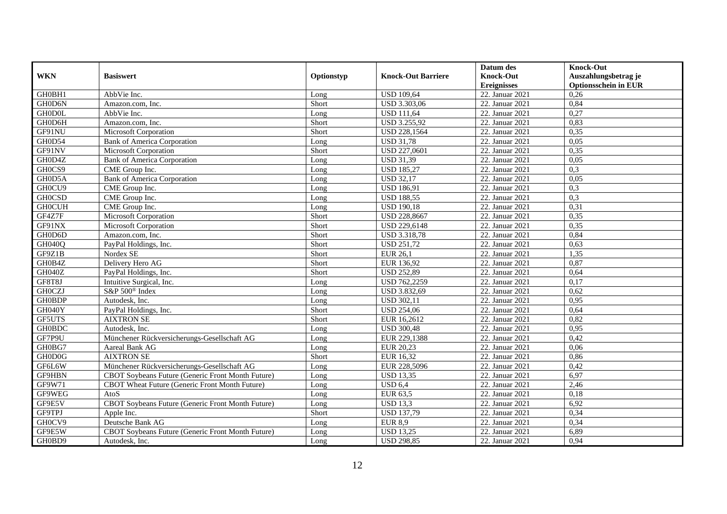|               |                                                   |            |                           | Datum des          | <b>Knock-Out</b>            |
|---------------|---------------------------------------------------|------------|---------------------------|--------------------|-----------------------------|
| <b>WKN</b>    | <b>Basiswert</b>                                  | Optionstyp | <b>Knock-Out Barriere</b> | <b>Knock-Out</b>   | Auszahlungsbetrag je        |
|               |                                                   |            |                           | <b>Ereignisses</b> | <b>Optionsschein in EUR</b> |
| GH0BH1        | AbbVie Inc.                                       | Long       | <b>USD 109,64</b>         | 22. Januar 2021    | 0,26                        |
| GH0D6N        | Amazon.com. Inc.                                  | Short      | <b>USD 3.303,06</b>       | 22. Januar 2021    | 0,84                        |
| <b>GHODOL</b> | AbbVie Inc.                                       | Long       | <b>USD 111,64</b>         | 22. Januar 2021    | 0,27                        |
| GH0D6H        | Amazon.com, Inc.                                  | Short      | <b>USD 3.255,92</b>       | 22. Januar 2021    | 0,83                        |
| GF91NU        | Microsoft Corporation                             | Short      | USD 228,1564              | 22. Januar 2021    | 0,35                        |
| GH0D54        | <b>Bank of America Corporation</b>                | Long       | <b>USD 31,78</b>          | 22. Januar 2021    | 0,05                        |
| GF91NV        | Microsoft Corporation                             | Short      | <b>USD 227,0601</b>       | 22. Januar 2021    | 0,35                        |
| GH0D4Z        | <b>Bank of America Corporation</b>                | Long       | <b>USD 31,39</b>          | 22. Januar 2021    | 0,05                        |
| GH0CS9        | CME Group Inc.                                    | Long       | <b>USD 185,27</b>         | 22. Januar 2021    | 0,3                         |
| GH0D5A        | <b>Bank of America Corporation</b>                | Long       | <b>USD 32,17</b>          | 22. Januar 2021    | 0,05                        |
| GH0CU9        | CME Group Inc.                                    | Long       | <b>USD 186,91</b>         | 22. Januar 2021    | 0,3                         |
| <b>GHOCSD</b> | CME Group Inc.                                    | Long       | <b>USD 188,55</b>         | 22. Januar 2021    | 0,3                         |
| <b>GH0CUH</b> | CME Group Inc.                                    | Long       | <b>USD 190,18</b>         | 22. Januar 2021    | 0,31                        |
| GF4Z7F        | Microsoft Corporation                             | Short      | <b>USD 228,8667</b>       | 22. Januar 2021    | 0,35                        |
| GF91NX        | Microsoft Corporation                             | Short      | <b>USD 229,6148</b>       | 22. Januar 2021    | 0,35                        |
| GH0D6D        | Amazon.com, Inc.                                  | Short      | <b>USD 3.318,78</b>       | 22. Januar 2021    | 0,84                        |
| <b>GH040Q</b> | PayPal Holdings, Inc.                             | Short      | <b>USD 251,72</b>         | 22. Januar 2021    | 0,63                        |
| GF9Z1B        | Nordex SE                                         | Short      | $\overline{EUR}$ 26,1     | 22. Januar 2021    | 1,35                        |
| GH0B4Z        | Delivery Hero AG                                  | Short      | EUR 136,92                | 22. Januar 2021    | 0,87                        |
| GH040Z        | PayPal Holdings, Inc.                             | Short      | <b>USD 252,89</b>         | 22. Januar 2021    | 0,64                        |
| GF8T8J        | Intuitive Surgical, Inc.                          | Long       | USD 762,2259              | 22. Januar 2021    | 0,17                        |
| <b>GHOCZJ</b> | S&P 500 <sup>®</sup> Index                        | Long       | USD 3.832,69              | 22. Januar 2021    | 0,62                        |
| <b>GH0BDP</b> | Autodesk, Inc.                                    | Long       | <b>USD 302,11</b>         | 22. Januar 2021    | 0,95                        |
| GH040Y        | PayPal Holdings, Inc.                             | Short      | <b>USD 254,06</b>         | 22. Januar 2021    | 0,64                        |
| GF5UTS        | <b>AIXTRON SE</b>                                 | Short      | EUR 16,2612               | 22. Januar 2021    | 0,82                        |
| <b>GH0BDC</b> | Autodesk, Inc.                                    | Long       | <b>USD 300,48</b>         | 22. Januar 2021    | 0,95                        |
| GF7P9U        | Münchener Rückversicherungs-Gesellschaft AG       | Long       | EUR 229,1388              | 22. Januar 2021    | 0,42                        |
| GH0BG7        | Aareal Bank AG                                    | Long       | EUR 20,23                 | 22. Januar 2021    | 0,06                        |
| GH0D0G        | <b>AIXTRON SE</b>                                 | Short      | EUR 16,32                 | 22. Januar 2021    | 0,86                        |
| GF6L6W        | Münchener Rückversicherungs-Gesellschaft AG       | Long       | EUR 228,5096              | 22. Januar 2021    | 0,42                        |
| GF9HBN        | CBOT Soybeans Future (Generic Front Month Future) | Long       | <b>USD 13,35</b>          | 22. Januar 2021    | 6,97                        |
| GF9W71        | CBOT Wheat Future (Generic Front Month Future)    | Long       | <b>USD 6,4</b>            | 22. Januar 2021    | 2,46                        |
| GF9WEG        | AtoS                                              | Long       | EUR 63,5                  | 22. Januar 2021    | 0,18                        |
| GF9E5V        | CBOT Soybeans Future (Generic Front Month Future) | Long       | <b>USD 13.3</b>           | 22. Januar 2021    | 6,92                        |
| GF9TPJ        | Apple Inc.                                        | Short      | <b>USD 137,79</b>         | 22. Januar 2021    | 0,34                        |
| GH0CV9        | Deutsche Bank AG                                  | Long       | <b>EUR 8,9</b>            | 22. Januar 2021    | 0,34                        |
| GF9E5W        | CBOT Soybeans Future (Generic Front Month Future) | Long       | <b>USD 13,25</b>          | 22. Januar 2021    | 6,89                        |
| GH0BD9        | Autodesk, Inc.                                    | Long       | <b>USD 298,85</b>         | 22. Januar 2021    | 0,94                        |